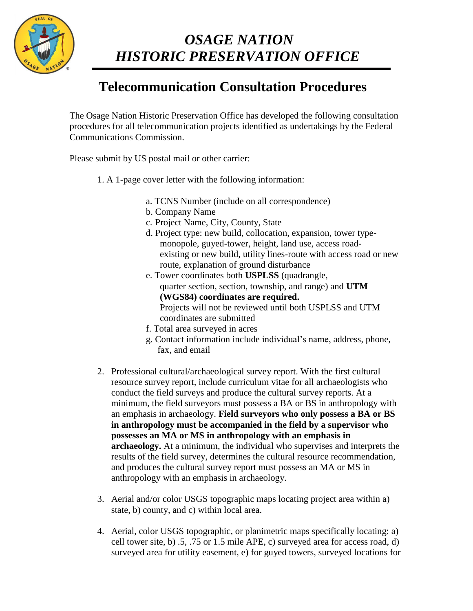

## *OSAGE NATION HISTORIC PRESERVATION OFFICE*

## **Telecommunication Consultation Procedures**

The Osage Nation Historic Preservation Office has developed the following consultation procedures for all telecommunication projects identified as undertakings by the Federal Communications Commission.

Please submit by US postal mail or other carrier:

- 1. A 1-page cover letter with the following information:
	- a. TCNS Number (include on all correspondence)
	- b. Company Name
	- c. Project Name, City, County, State
	- d. Project type: new build, collocation, expansion, tower typemonopole, guyed-tower, height, land use, access roadexisting or new build, utility lines-route with access road or new route, explanation of ground disturbance
	- e. Tower coordinates both **USPLSS** (quadrangle, quarter section, section, township, and range) and **UTM (WGS84) coordinates are required.**  Projects will not be reviewed until both USPLSS and UTM coordinates are submitted
	- f. Total area surveyed in acres
	- g. Contact information include individual's name, address, phone, fax, and email
- 2. Professional cultural/archaeological survey report. With the first cultural resource survey report, include curriculum vitae for all archaeologists who conduct the field surveys and produce the cultural survey reports. At a minimum, the field surveyors must possess a BA or BS in anthropology with an emphasis in archaeology. **Field surveyors who only possess a BA or BS in anthropology must be accompanied in the field by a supervisor who possesses an MA or MS in anthropology with an emphasis in archaeology.** At a minimum, the individual who supervises and interprets the results of the field survey, determines the cultural resource recommendation, and produces the cultural survey report must possess an MA or MS in anthropology with an emphasis in archaeology.
- 3. Aerial and/or color USGS topographic maps locating project area within a) state, b) county, and c) within local area.
- 4. Aerial, color USGS topographic, or planimetric maps specifically locating: a) cell tower site, b) .5, .75 or 1.5 mile APE, c) surveyed area for access road, d) surveyed area for utility easement, e) for guyed towers, surveyed locations for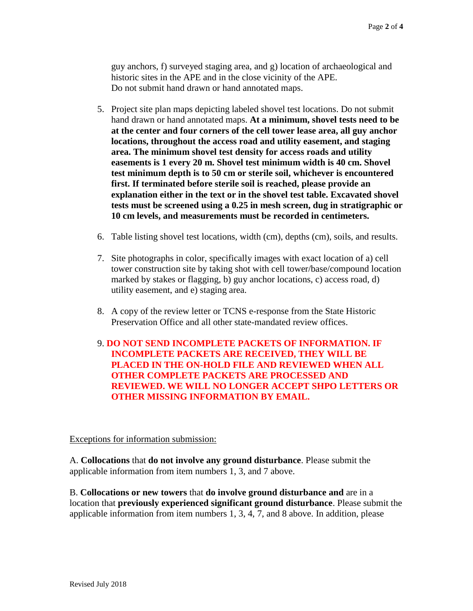guy anchors, f) surveyed staging area, and g) location of archaeological and historic sites in the APE and in the close vicinity of the APE. Do not submit hand drawn or hand annotated maps.

- 5. Project site plan maps depicting labeled shovel test locations. Do not submit hand drawn or hand annotated maps. **At a minimum, shovel tests need to be at the center and four corners of the cell tower lease area, all guy anchor locations, throughout the access road and utility easement, and staging area. The minimum shovel test density for access roads and utility easements is 1 every 20 m. Shovel test minimum width is 40 cm. Shovel test minimum depth is to 50 cm or sterile soil, whichever is encountered first. If terminated before sterile soil is reached, please provide an explanation either in the text or in the shovel test table. Excavated shovel tests must be screened using a 0.25 in mesh screen, dug in stratigraphic or 10 cm levels, and measurements must be recorded in centimeters.**
- 6. Table listing shovel test locations, width (cm), depths (cm), soils, and results.
- 7. Site photographs in color, specifically images with exact location of a) cell tower construction site by taking shot with cell tower/base/compound location marked by stakes or flagging, b) guy anchor locations, c) access road, d) utility easement, and e) staging area.
- 8. A copy of the review letter or TCNS e-response from the State Historic Preservation Office and all other state-mandated review offices.
- 9. **DO NOT SEND INCOMPLETE PACKETS OF INFORMATION. IF INCOMPLETE PACKETS ARE RECEIVED, THEY WILL BE PLACED IN THE ON-HOLD FILE AND REVIEWED WHEN ALL OTHER COMPLETE PACKETS ARE PROCESSED AND REVIEWED. WE WILL NO LONGER ACCEPT SHPO LETTERS OR OTHER MISSING INFORMATION BY EMAIL.**

Exceptions for information submission:

A. **Collocations** that **do not involve any ground disturbance**. Please submit the applicable information from item numbers 1, 3, and 7 above.

B. **Collocations or new towers** that **do involve ground disturbance and** are in a location that **previously experienced significant ground disturbance**. Please submit the applicable information from item numbers 1, 3, 4, 7, and 8 above. In addition, please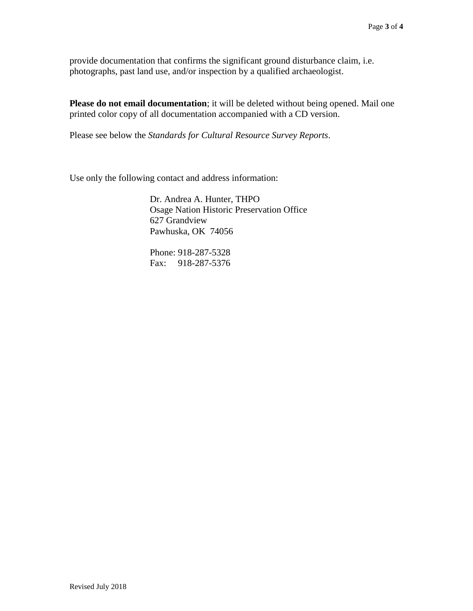provide documentation that confirms the significant ground disturbance claim, i.e. photographs, past land use, and/or inspection by a qualified archaeologist.

**Please do not email documentation**; it will be deleted without being opened. Mail one printed color copy of all documentation accompanied with a CD version.

Please see below the *Standards for Cultural Resource Survey Reports*.

Use only the following contact and address information:

Dr. Andrea A. Hunter, THPO Osage Nation Historic Preservation Office 627 Grandview Pawhuska, OK 74056

Phone: 918-287-5328 Fax: 918-287-5376